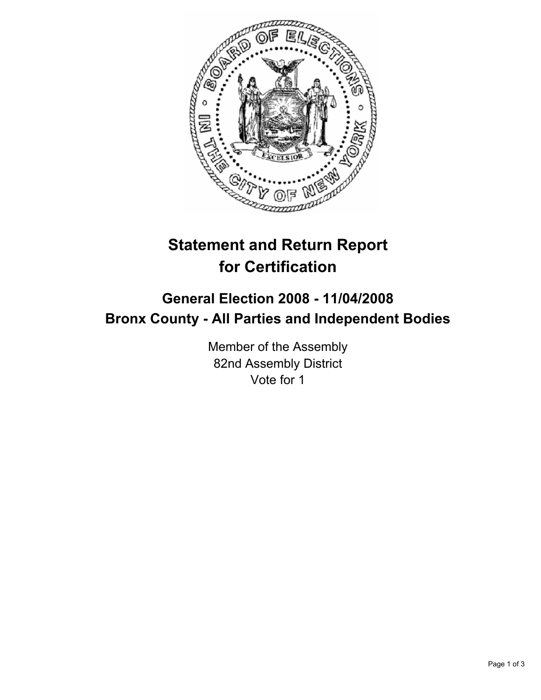

# **Statement and Return Report for Certification**

## **General Election 2008 - 11/04/2008 Bronx County - All Parties and Independent Bodies**

Member of the Assembly 82nd Assembly District Vote for 1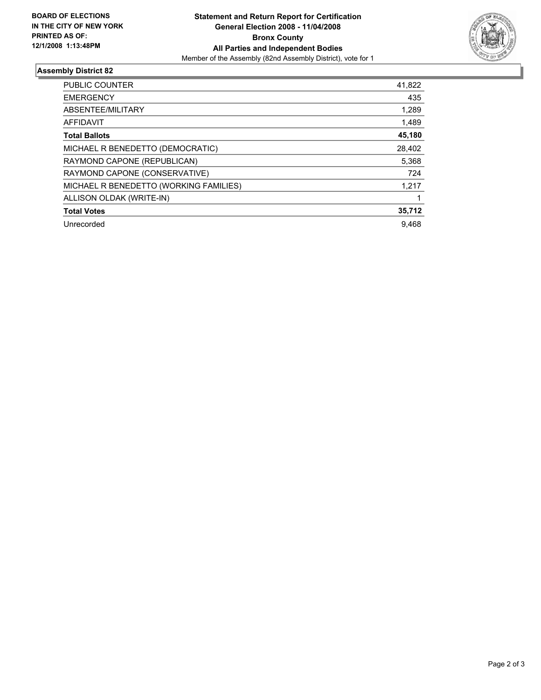

### **Assembly District 82**

| PUBLIC COUNTER                         | 41,822 |
|----------------------------------------|--------|
| <b>EMERGENCY</b>                       | 435    |
| ABSENTEE/MILITARY                      | 1,289  |
| AFFIDAVIT                              | 1,489  |
| <b>Total Ballots</b>                   | 45,180 |
| MICHAEL R BENEDETTO (DEMOCRATIC)       | 28,402 |
| RAYMOND CAPONE (REPUBLICAN)            | 5,368  |
| RAYMOND CAPONE (CONSERVATIVE)          | 724    |
| MICHAEL R BENEDETTO (WORKING FAMILIES) | 1,217  |
| ALLISON OLDAK (WRITE-IN)               |        |
| <b>Total Votes</b>                     | 35,712 |
| Unrecorded                             | 9.468  |
|                                        |        |